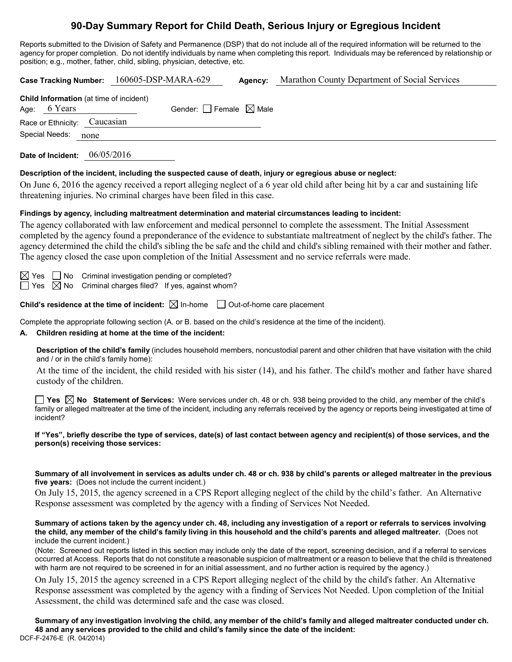## **90-Day Summary Report for Child Death, Serious Injury or Egregious Incident**

Reports submitted to the Division of Safety and Permanence (DSP) that do not include all of the required information will be returned to the agency for proper completion. Do not identify individuals by name when completing this report. Individuals may be referenced by relationship or position; e.g., mother, father, child, sibling, physician, detective, etc.

| 160605-DSP-MARA-629<br>Marathon County Department of Social Services<br><b>Case Tracking Number:</b><br>Agency:                                                                                                                                                                                                                                                                                                                                                                                                                                                                                                           |  |  |  |  |
|---------------------------------------------------------------------------------------------------------------------------------------------------------------------------------------------------------------------------------------------------------------------------------------------------------------------------------------------------------------------------------------------------------------------------------------------------------------------------------------------------------------------------------------------------------------------------------------------------------------------------|--|--|--|--|
| Child Information (at time of incident)<br>Age: 6 Years<br>Gender: $\Box$ Female $\boxtimes$ Male                                                                                                                                                                                                                                                                                                                                                                                                                                                                                                                         |  |  |  |  |
| Caucasian<br>Race or Ethnicity:                                                                                                                                                                                                                                                                                                                                                                                                                                                                                                                                                                                           |  |  |  |  |
| Special Needs:<br>none                                                                                                                                                                                                                                                                                                                                                                                                                                                                                                                                                                                                    |  |  |  |  |
| Date of Incident: 06/05/2016                                                                                                                                                                                                                                                                                                                                                                                                                                                                                                                                                                                              |  |  |  |  |
| Description of the incident, including the suspected cause of death, injury or egregious abuse or neglect:<br>On June 6, 2016 the agency received a report alleging neglect of a 6 year old child after being hit by a car and sustaining life<br>threatening injuries. No criminal charges have been filed in this case.                                                                                                                                                                                                                                                                                                 |  |  |  |  |
| Findings by agency, including maltreatment determination and material circumstances leading to incident:<br>The agency collaborated with law enforcement and medical personnel to complete the assessment. The Initial Assessment<br>completed by the agency found a preponderance of the evidence to substantiate maltreatment of neglect by the child's father. The<br>agency determined the child the child's sibling the be safe and the child and child's sibling remained with their mother and father.<br>The agency closed the case upon completion of the Initial Assessment and no service referrals were made. |  |  |  |  |
| Criminal investigation pending or completed?<br>$\boxtimes$ Yes $\parallel$   No<br>$\boxtimes$ No Criminal charges filed? If yes, against whom?<br>$\Box$ Yes                                                                                                                                                                                                                                                                                                                                                                                                                                                            |  |  |  |  |
| <b>Child's residence at the time of incident:</b> $\boxtimes$ In-home $\Box$ Out-of-home care placement                                                                                                                                                                                                                                                                                                                                                                                                                                                                                                                   |  |  |  |  |
| Complete the appropriate following section (A. or B. based on the child's residence at the time of the incident).<br>Children residing at home at the time of the incident:                                                                                                                                                                                                                                                                                                                                                                                                                                               |  |  |  |  |
| Description of the child's family (includes household members, noncustodial parent and other children that have visitation with the child<br>and / or in the child's family home):                                                                                                                                                                                                                                                                                                                                                                                                                                        |  |  |  |  |
| At the time of the incident, the child resided with his sister (14), and his father. The child's mother and father have shared<br>custody of the children.                                                                                                                                                                                                                                                                                                                                                                                                                                                                |  |  |  |  |
| <b>Yes</b> $\boxtimes$ No Statement of Services: Were services under ch. 48 or ch. 938 being provided to the child, any member of the child's<br>family or alleged maltreater at the time of the incident, including any referrals received by the agency or reports being investigated at time of<br>incident?                                                                                                                                                                                                                                                                                                           |  |  |  |  |
| If "Yes", briefly describe the type of services, date(s) of last contact between agency and recipient(s) of those services, and the<br>person(s) receiving those services:                                                                                                                                                                                                                                                                                                                                                                                                                                                |  |  |  |  |
| Summary of all involvement in services as adults under ch. 48 or ch. 938 by child's parents or alleged maltreater in the previous<br>five years: (Does not include the current incident.)                                                                                                                                                                                                                                                                                                                                                                                                                                 |  |  |  |  |
| On July 15, 2015, the agency screened in a CPS Report alleging neglect of the child by the child's father. An Alternative<br>Response assessment was completed by the agency with a finding of Services Not Needed.                                                                                                                                                                                                                                                                                                                                                                                                       |  |  |  |  |

**Summary of actions taken by the agency under ch. 48, including any investigation of a report or referrals to services involving the child, any member of the child's family living in this household and the child's parents and alleged maltreater.** (Does not include the current incident.)

(Note: Screened out reports listed in this section may include only the date of the report, screening decision, and if a referral to services occurred at Access. Reports that do not constitute a reasonable suspicion of maltreatment or a reason to believe that the child is threatened with harm are not required to be screened in for an initial assessment, and no further action is required by the agency.)

On July 15, 2015 the agency screened in a CPS Report alleging neglect of the child by the child's father. An Alternative Response assessment was completed by the agency with a finding of Services Not Needed. Upon completion of the Initial Assessment, the child was determined safe and the case was closed.

DCF-F-2476-E (R. 04/2014) **Summary of any investigation involving the child, any member of the child's family and alleged maltreater conducted under ch. 48 and any services provided to the child and child's family since the date of the incident:**